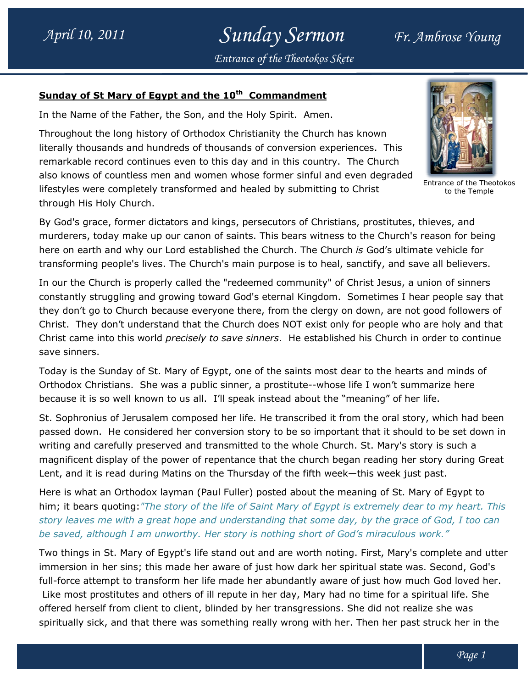## Sunday Sermon Fr. Ambrose Young Entrance of the Theotokos Skete

## Sunday of St Mary of Egypt and the 10<sup>th</sup> Commandment

In the Name of the Father, the Son, and the Holy Spirit. Amen.

Throughout the long history of Orthodox Christianity the Church has known Throughout the long history of Orthodox Christianity the Church has known<br>literally thousands and hundreds of thousands of conversion experiences. This remarkable record continues even to this day and in this country. The Church also knows of countless men and women whose former sinful and even degraded lifestyles were completely transformed and healed by submitting to Christ through His Holy Church.



to the Temple

By God's grace, former dictators and kings, persecutors of Christians, prostitutes, thieves, and murderers, today make up our canon of saints. This bears witness to the Church's reason for being also knows of countless men and women whose former sinful and even degraded<br>
lifestyles were completely transformed and healed by submitting to Christ<br>
through His Holy Church.<br>
By God's grace, former dictators and kings, transforming people's lives. The Church's main purpose is to heal, sanctify, and save all believers.

In our the Church is properly called the "redeemed community" of Christ Jesus, a union of sinners constantly struggling and growing toward God's eternal Kingdom. Sometimes I hear people say that they don't go to Church because everyone there, from the clergy on down, are not good followers of they don't go to Church because everyone there, from the clergy on down, are not good followers of<br>Christ. They don't understand that the Church does NOT exist only for people who are holy and that Christ came into this world *precisely to save sinners*. He established his Church in order to continue save sinners. Christ<br>
this formate of the Theotokos<br>
to the Temple<br>
is God's ultimate vehicle for<br>
anctify, and save all believers.<br>
Christ Jesus, a union of sinners<br>
Sometimes I hear people say that<br>
idown, are not good followers of<br>

Today is the Sunday of St. Mary of Egypt, one of the saints most dear to the hearts and minds of Today is the Sunday of St. Mary of Egypt, one of the saints most dear to the hearts and minds<br>Orthodox Christians. She was a public sinner, a prostitute--whose life I won't summarize here because it is so well known to us all. I'll speak instead about the "meaning" of her life.

St. Sophronius of Jerusalem composed her life. He transcribed it from the oral story, which had been passed down. He considered her conversion story to be so important that it should to be set down in writing and carefully preserved and transmitted to the whole Church. St. Mary's story is such a magnificent display of the power of repentance that the church began reading her Lent, and it is read during Matins on the Thursday of the fifth week-this week just past. St. Sophronius of Jerusalem composed her life. He transcribed it from the oral story, which<br>passed down. He considered her conversion story to be so important that it should to be se<br>writing and carefully preserved and tra She was a public sinner, a prostitute--whose life I won't summarize here<br>own to us all. I'll speak instead about the "meaning" of her life.<br>salem composed her life. He transcribed it from the oral story, which had been<br>ide

Here is what an Orthodox layman (Paul Fuller) posted about the meaning of St. Mary of Egypt to him; it bears quoting: "The story of the life of Saint Mary of Egypt is extremely dear to my heart. This story leaves me with a great hope and understanding that some day, by the grace of God, I too can story leaves me with a great hope and understanding that some day, by the grace of God,<br>be saved, although I am unworthy. Her story is nothing short of God's miraculous work."

Two things in St. Mary of Egypt's life stand out and are worth noting. First, Mary's complete and utter immersion in her sins; this made her aware of just how dark her spiritual state was. Second, God's Two things in St. Mary of Egypt's life stand out and are worth noting. First, Mary's complete and utte<br>immersion in her sins; this made her aware of just how dark her spiritual state was. Second, God's<br>full-force attempt t Like most prostitutes and others of ill repute in her day, Mary had no time for a spiritual life. She offered herself from client to client, blinded by her transgressions. She did not realize she was spiritually sick, and that there was something really wrong with her. Then her past struck her in the 1/11 SUITILARY SPTHONE Tr. *Althonore Young*<br>
Curicace of the Theodology Skyte<br>
Mary of Esypti and the 10<sup>th</sup> Commandment<br>
the Father, the Son, and the Holy Spirit. Amen.<br>
Holy is hard in this case of the Son and the Hol